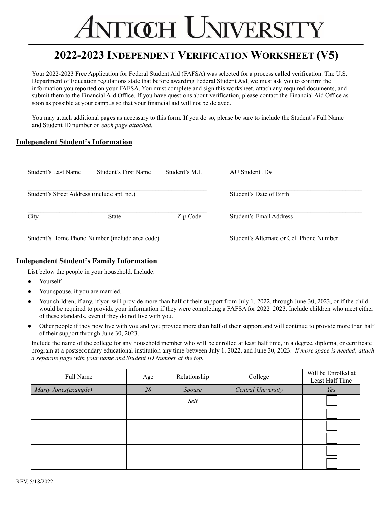## NTIŒH UNIVERSITY

### **2022-2023 INDEPENDENT VERIFICATION WORKSHEET (V5)**

Your 2022-2023 Free Application for Federal Student Aid (FAFSA) was selected for a process called verification. The U.S. Department of Education regulations state that before awarding Federal Student Aid, we must ask you to confirm the information you reported on your FAFSA. You must complete and sign this worksheet, attach any required documents, and submit them to the Financial Aid Office. If you have questions about verification, please contact the Financial Aid Office as soon as possible at your campus so that your financial aid will not be delayed.

You may attach additional pages as necessary to this form. If you do so, please be sure to include the Student's Full Name and Student ID number on *each page attached.*

#### **Independent Student's Information**

| Student's Last Name                         | Student's First Name                            | Student's M.I.                           | AU Student $ID#$        |
|---------------------------------------------|-------------------------------------------------|------------------------------------------|-------------------------|
| Student's Street Address (include apt. no.) |                                                 | Student's Date of Birth                  |                         |
| City                                        | <b>State</b>                                    | Zip Code                                 | Student's Email Address |
|                                             | Student's Home Phone Number (include area code) | Student's Alternate or Cell Phone Number |                         |

#### **Independent Student's Family Information**

List below the people in your household. Include:

- Yourself.
- Your spouse, if you are married.
- Your children, if any, if you will provide more than half of their support from July 1, 2022, through June 30, 2023, or if the child would be required to provide your information if they were completing a FAFSA for 2022–2023. Include children who meet either of these standards, even if they do not live with you.
- Other people if they now live with you and you provide more than half of their support and will continue to provide more than half of their support through June 30, 2023.

Include the name of the college for any household member who will be enrolled at least half time, in a degree, diploma, or certificate program at a postsecondary educational institution any time between July 1, 2022, and June 30, 2023. *If more space is needed, attach a separate page with your name and Student ID Number at the top.*

| Full Name             | Age | Relationship | College            | Will be Enrolled at<br>Least Half Time |
|-----------------------|-----|--------------|--------------------|----------------------------------------|
| Marty Jones (example) | 28  | Spouse       | Central University | Yes                                    |
|                       |     | Self         |                    |                                        |
|                       |     |              |                    |                                        |
|                       |     |              |                    |                                        |
|                       |     |              |                    |                                        |
|                       |     |              |                    |                                        |
|                       |     |              |                    |                                        |